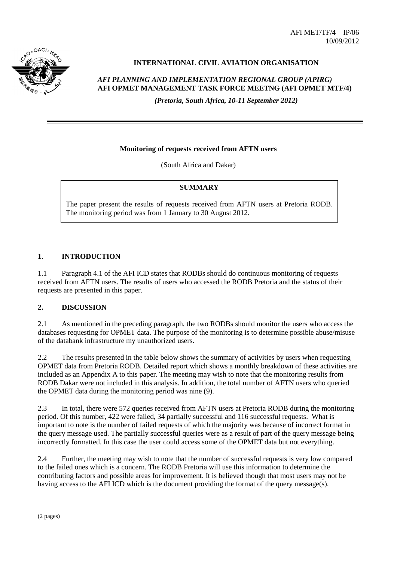AFI MET/TF/4 – IP/06 10/09/2012



## **INTERNATIONAL CIVIL AVIATION ORGANISATION**

# *AFI PLANNING AND IMPLEMENTATION REGIONAL GROUP (APIRG)* **AFI OPMET MANAGEMENT TASK FORCE MEETNG (AFI OPMET MTF/4)**

*(Pretoria, South Africa, 10-11 September 2012)*

#### **Monitoring of requests received from AFTN users**

(South Africa and Dakar)

#### **SUMMARY**

The paper present the results of requests received from AFTN users at Pretoria RODB. The monitoring period was from 1 January to 30 August 2012.

### **1. INTRODUCTION**

1.1 Paragraph 4.1 of the AFI ICD states that RODBs should do continuous monitoring of requests received from AFTN users. The results of users who accessed the RODB Pretoria and the status of their requests are presented in this paper.

#### **2. DISCUSSION**

2.1 As mentioned in the preceding paragraph, the two RODBs should monitor the users who access the databases requesting for OPMET data. The purpose of the monitoring is to determine possible abuse/misuse of the databank infrastructure my unauthorized users.

2.2 The results presented in the table below shows the summary of activities by users when requesting OPMET data from Pretoria RODB. Detailed report which shows a monthly breakdown of these activities are included as an Appendix A to this paper. The meeting may wish to note that the monitoring results from RODB Dakar were not included in this analysis. In addition, the total number of AFTN users who queried the OPMET data during the monitoring period was nine (9).

2.3 In total, there were 572 queries received from AFTN users at Pretoria RODB during the monitoring period. Of this number, 422 were failed, 34 partially successful and 116 successful requests. What is important to note is the number of failed requests of which the majority was because of incorrect format in the query message used. The partially successful queries were as a result of part of the query message being incorrectly formatted. In this case the user could access some of the OPMET data but not everything.

2.4 Further, the meeting may wish to note that the number of successful requests is very low compared to the failed ones which is a concern. The RODB Pretoria will use this information to determine the contributing factors and possible areas for improvement. It is believed though that most users may not be having access to the AFI ICD which is the document providing the format of the query message(s).